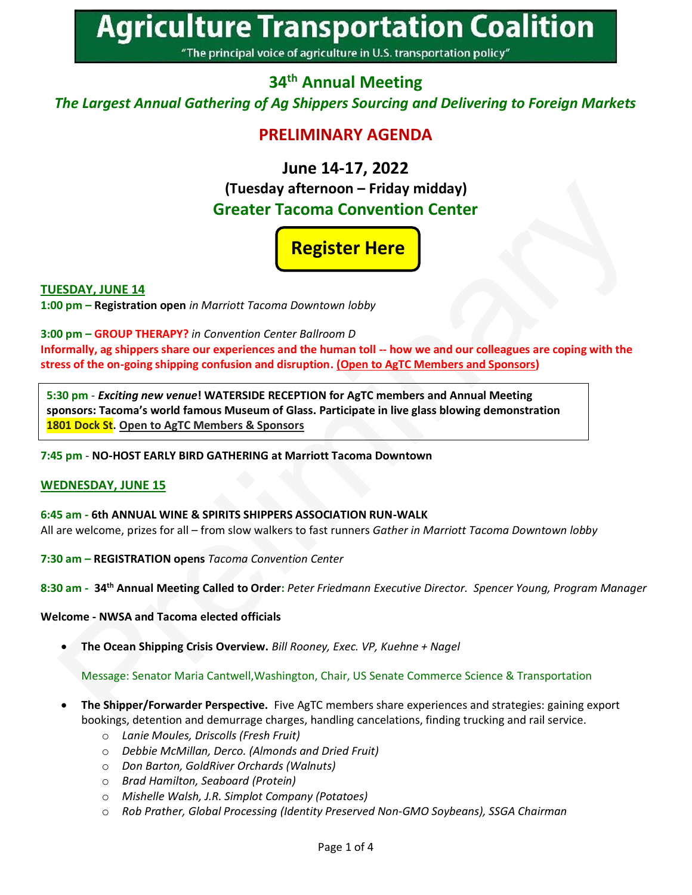**Agriculture Transportation Coalition** 

"The principal voice of agriculture in U.S. transportation policy"

## **34 th Annual Meeting**

*The Largest Annual Gathering of Ag Shippers Sourcing and Delivering to Foreign Markets*

## **PRELIMINARY AGENDA**

### **June 14-17, 2022 (Tuesday afternoon – Friday midday)**

# **Greater Tacoma Convention Center**

# **[Register Here](https://agtrans.org/events/)**

#### **TUESDAY, JUNE 14**

**1:00 pm – Registration open** *in Marriott Tacoma Downtown lobby*

#### **3:00 pm – GROUP THERAPY?** *in Convention Center Ballroom D*

**Informally, ag shippers share our experiences and the human toll -- how we and our colleagues are coping with the stress of the on-going shipping confusion and disruption. (Open to AgTC Members and Sponsors)**

**5:30 pm** - *Exciting new venue***! WATERSIDE RECEPTION for AgTC members and Annual Meeting sponsors: Tacoma's world famous Museum of Glass. Participate in live glass blowing demonstration 1801 Dock St. Open to AgTC Members & Sponsors**

**7:45 pm** - **NO-HOST EARLY BIRD GATHERING at Marriott Tacoma Downtown** 

#### **WEDNESDAY, JUNE 15**

**6:45 am - 6th ANNUAL WINE & SPIRITS SHIPPERS ASSOCIATION RUN-WALK**  All are welcome, prizes for all – from slow walkers to fast runners *Gather in Marriott Tacoma Downtown lobby*

**7:30 am – REGISTRATION opens** *Tacoma Convention Center*

**8:30 am - 34th Annual Meeting Called to Order:** *Peter Friedmann Executive Director. Spencer Young, Program Manager*

#### **Welcome - NWSA and Tacoma elected officials**

• **The Ocean Shipping Crisis Overview.** *Bill Rooney, Exec. VP, Kuehne + Nagel*

Message: Senator Maria Cantwell,Washington, Chair, US Senate Commerce Science & Transportation

- **The Shipper/Forwarder Perspective.** Five AgTC members share experiences and strategies: gaining export bookings, detention and demurrage charges, handling cancelations, finding trucking and rail service.
	- o *Lanie Moules, Driscolls (Fresh Fruit)*
	- o *Debbie McMillan, Derco. (Almonds and Dried Fruit)*
	- o *Don Barton, GoldRiver Orchards (Walnuts)*
	- o *Brad Hamilton, Seaboard (Protein)*
	- o *Mishelle Walsh, J.R. Simplot Company (Potatoes)*
	- o *Rob Prather, Global Processing (Identity Preserved Non-GMO Soybeans), SSGA Chairman*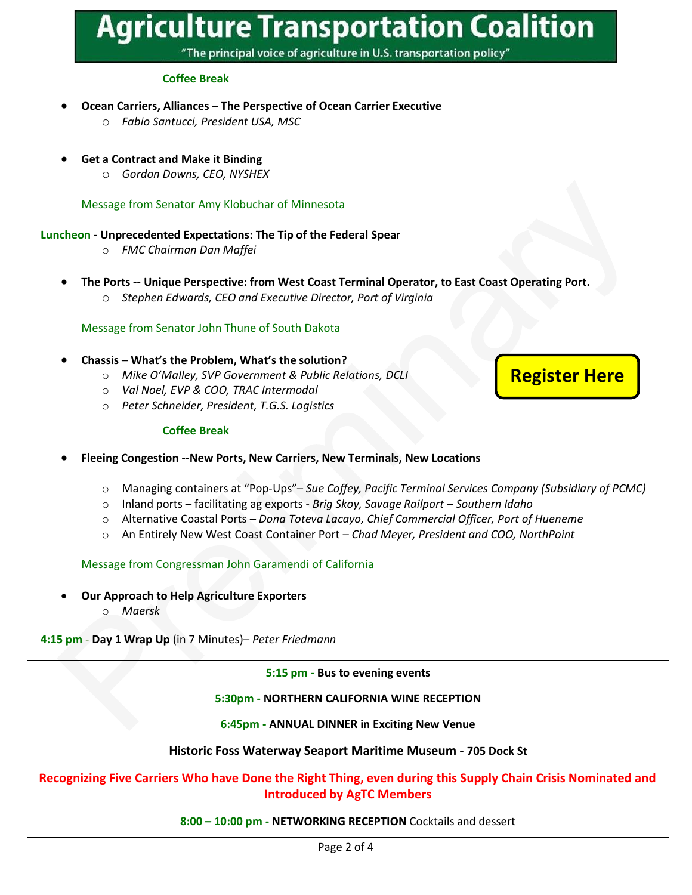# **Agriculture Transportation Coalition**

"The principal voice of agriculture in U.S. transportation policy"

#### **Coffee Break**

- **Ocean Carriers, Alliances – The Perspective of Ocean Carrier Executive**
	- o *Fabio Santucci, President USA, MSC*
- **Get a Contract and Make it Binding**
	- o *Gordon Downs, CEO, NYSHEX*

Message from Senator Amy Klobuchar of Minnesota

#### **Luncheon - Unprecedented Expectations: The Tip of the Federal Spear**

- o *FMC Chairman Dan Maffei*
- **The Ports -- Unique Perspective: from West Coast Terminal Operator, to East Coast Operating Port.** 
	- o *Stephen Edwards, CEO and Executive Director, Port of Virginia*

#### Message from Senator John Thune of South Dakota

- **Chassis – What's the Problem, What's the solution?**
	- o *Mike O'Malley, SVP Government & Public Relations, DCLI*
	- o *Val Noel, EVP & COO, TRAC Intermodal*
	- o *Peter Schneider, President, T.G.S. Logistics*

#### **Coffee Break**

#### • **Fleeing Congestion --New Ports, New Carriers, New Terminals, New Locations**

- o Managing containers at "Pop-Ups"– *Sue Coffey, Pacific Terminal Services Company (Subsidiary of PCMC)*
- o Inland ports facilitating ag exports *Brig Skoy, Savage Railport – Southern Idaho*
- o Alternative Coastal Ports *Dona Toteva Lacayo, Chief Commercial Officer, Port of Hueneme*
- o An Entirely New West Coast Container Port *Chad Meyer, President and COO, NorthPoint*

Message from Congressman John Garamendi of California

- **Our Approach to Help Agriculture Exporters**
	- o *Maersk*

**4:15 pm** - **Day 1 Wrap Up** (in 7 Minutes)– *Peter Friedmann*

**5:15 pm - Bus to evening events**

#### **5:30pm - NORTHERN CALIFORNIA WINE RECEPTION**

**6:45pm - ANNUAL DINNER in Exciting New Venue**

#### **Historic Foss Waterway Seaport Maritime Museum - 705 Dock St**

#### **Recognizing Five Carriers Who have Done the Right Thing, even during this Supply Chain Crisis Nominated and Introduced by AgTC Members**

#### **8:00 – 10:00 pm - NETWORKING RECEPTION** Cocktails and dessert

**[Register Here](https://agtrans.org/events/)**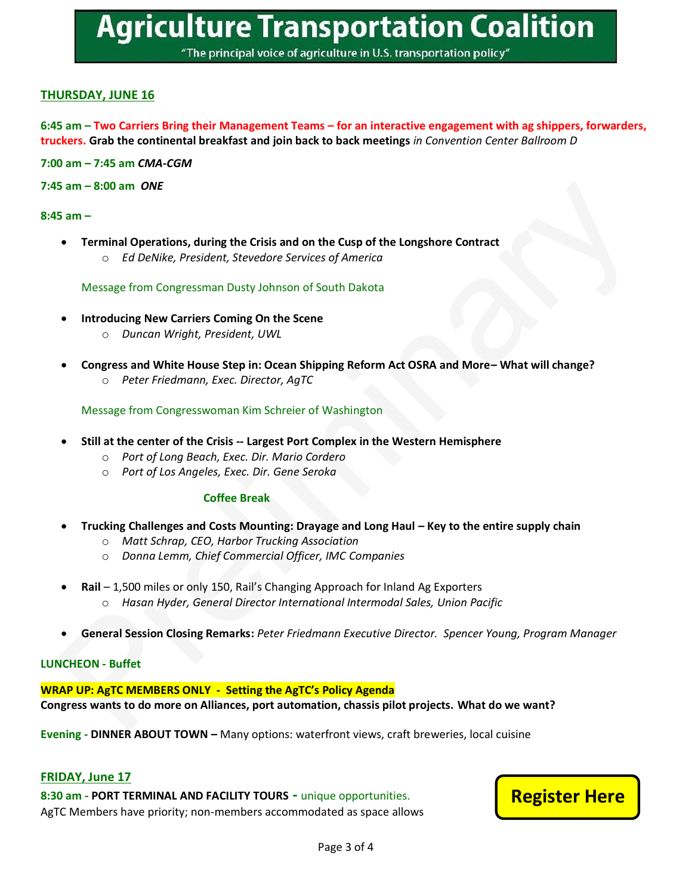"The principal voice of agriculture in U.S. transportation policy"

#### **THURSDAY, JUNE 16**

#### **6:45 am – Two Carriers Bring their Management Teams – for an interactive engagement with ag shippers, forwarders, truckers. Grab the continental breakfast and join back to back meetings** *in Convention Center Ballroom D*

**7:00 am – 7:45 am** *CMA-CGM*

**7:45 am – 8:00 am** *ONE*

#### **8:45 am –**

• **Terminal Operations, during the Crisis and on the Cusp of the Longshore Contract** o *Ed DeNike, President, Stevedore Services of America*

Message from Congressman Dusty Johnson of South Dakota

- **Introducing New Carriers Coming On the Scene**
	- o *Duncan Wright, President, UWL*
- **Congress and White House Step in: Ocean Shipping Reform Act OSRA and More– What will change?** 
	- o *Peter Friedmann, Exec. Director, AgTC*

#### Message from Congresswoman Kim Schreier of Washington

- **Still at the center of the Crisis -- Largest Port Complex in the Western Hemisphere**
	- o *Port of Long Beach, Exec. Dir. Mario Cordero*
	- o *Port of Los Angeles, Exec. Dir. Gene Seroka*

#### **Coffee Break**

- **Trucking Challenges and Costs Mounting: Drayage and Long Haul – Key to the entire supply chain**
	- o *Matt Schrap, CEO, Harbor Trucking Association*
	- o *Donna Lemm, Chief Commercial Officer, IMC Companies*
- **Rail** 1,500 miles or only 150, Rail's Changing Approach for Inland Ag Exporters
	- o *Hasan Hyder, General Director International Intermodal Sales, Union Pacific*
- **General Session Closing Remarks:** *Peter Friedmann Executive Director. Spencer Young, Program Manager*

#### **LUNCHEON - Buffet**

**WRAP UP: AgTC MEMBERS ONLY - Setting the AgTC's Policy Agenda Congress wants to do more on Alliances, port automation, chassis pilot projects. What do we want?** 

**Evening - DINNER ABOUT TOWN –** Many options: waterfront views, craft breweries, local cuisine

#### **FRIDAY, June 17**

**8:30 am - PORT TERMINAL AND FACILITY TOURS -** unique opportunities. AgTC Members have priority; non-members accommodated as space allows